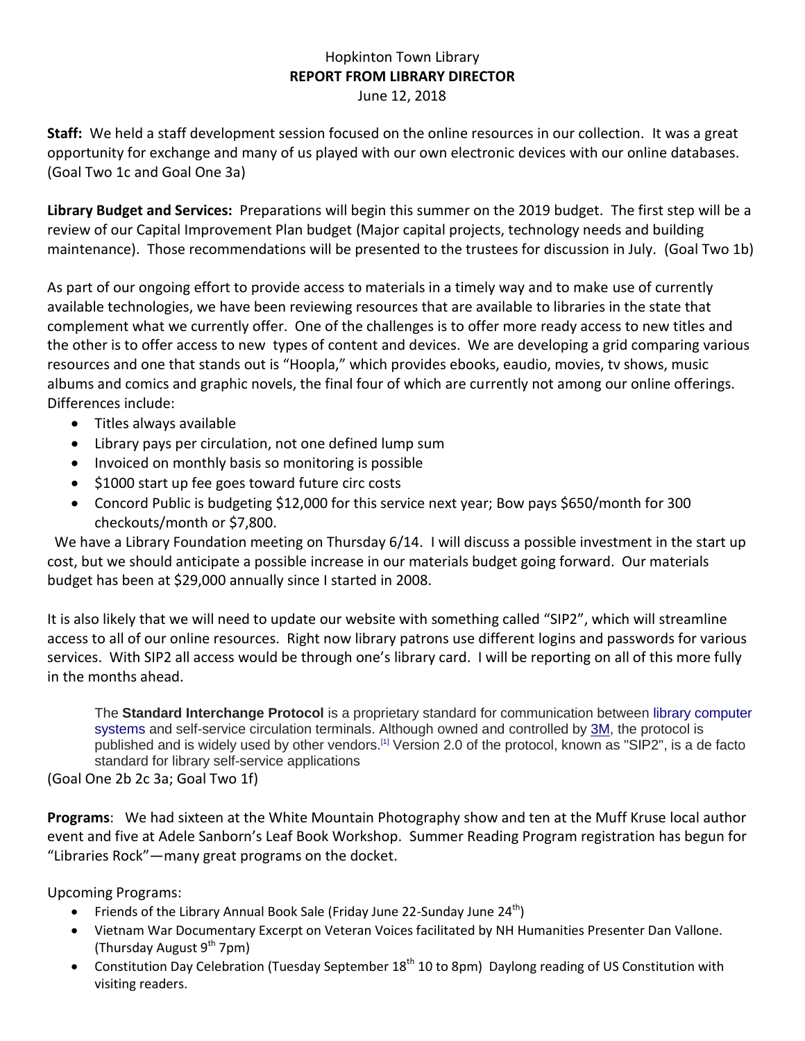## Hopkinton Town Library **REPORT FROM LIBRARY DIRECTOR** June 12, 2018

**Staff:** We held a staff development session focused on the online resources in our collection. It was a great opportunity for exchange and many of us played with our own electronic devices with our online databases. (Goal Two 1c and Goal One 3a)

**Library Budget and Services:** Preparations will begin this summer on the 2019 budget. The first step will be a review of our Capital Improvement Plan budget (Major capital projects, technology needs and building maintenance). Those recommendations will be presented to the trustees for discussion in July. (Goal Two 1b)

As part of our ongoing effort to provide access to materials in a timely way and to make use of currently available technologies, we have been reviewing resources that are available to libraries in the state that complement what we currently offer. One of the challenges is to offer more ready access to new titles and the other is to offer access to new types of content and devices. We are developing a grid comparing various resources and one that stands out is "Hoopla," which provides ebooks, eaudio, movies, tv shows, music albums and comics and graphic novels, the final four of which are currently not among our online offerings. Differences include:

- Titles always available
- Library pays per circulation, not one defined lump sum
- Invoiced on monthly basis so monitoring is possible
- \$1000 start up fee goes toward future circ costs
- Concord Public is budgeting \$12,000 for this service next year; Bow pays \$650/month for 300 checkouts/month or \$7,800.

We have a Library Foundation meeting on Thursday 6/14. I will discuss a possible investment in the start up cost, but we should anticipate a possible increase in our materials budget going forward. Our materials budget has been at \$29,000 annually since I started in 2008.

It is also likely that we will need to update our website with something called "SIP2", which will streamline access to all of our online resources. Right now library patrons use different logins and passwords for various services. With SIP2 all access would be through one's library card. I will be reporting on all of this more fully in the months ahead.

The **Standard Interchange Protocol** is a proprietary standard for communication between [library computer](https://en.wikipedia.org/wiki/Library_computer_system)  [systems](https://en.wikipedia.org/wiki/Library_computer_system) and self-service circulation terminals. Although owned and controlled by [3M,](https://en.wikipedia.org/wiki/3M) the protocol is published and is widely used by other vendors.<sup>[\[1\]](https://en.wikipedia.org/wiki/Standard_Interchange_Protocol#cite_note-1)</sup> Version 2.0 of the protocol, known as "SIP2", is a de facto standard for library self-service applications

(Goal One 2b 2c 3a; Goal Two 1f)

**Programs**: We had sixteen at the White Mountain Photography show and ten at the Muff Kruse local author event and five at Adele Sanborn's Leaf Book Workshop. Summer Reading Program registration has begun for "Libraries Rock"—many great programs on the docket.

Upcoming Programs:

- Friends of the Library Annual Book Sale (Friday June 22-Sunday June  $24<sup>th</sup>$ )
- Vietnam War Documentary Excerpt on Veteran Voices facilitated by NH Humanities Presenter Dan Vallone. (Thursday August  $9^{th}$  7pm)
- Constitution Day Celebration (Tuesday September  $18<sup>th</sup> 10$  to 8pm) Daylong reading of US Constitution with visiting readers.